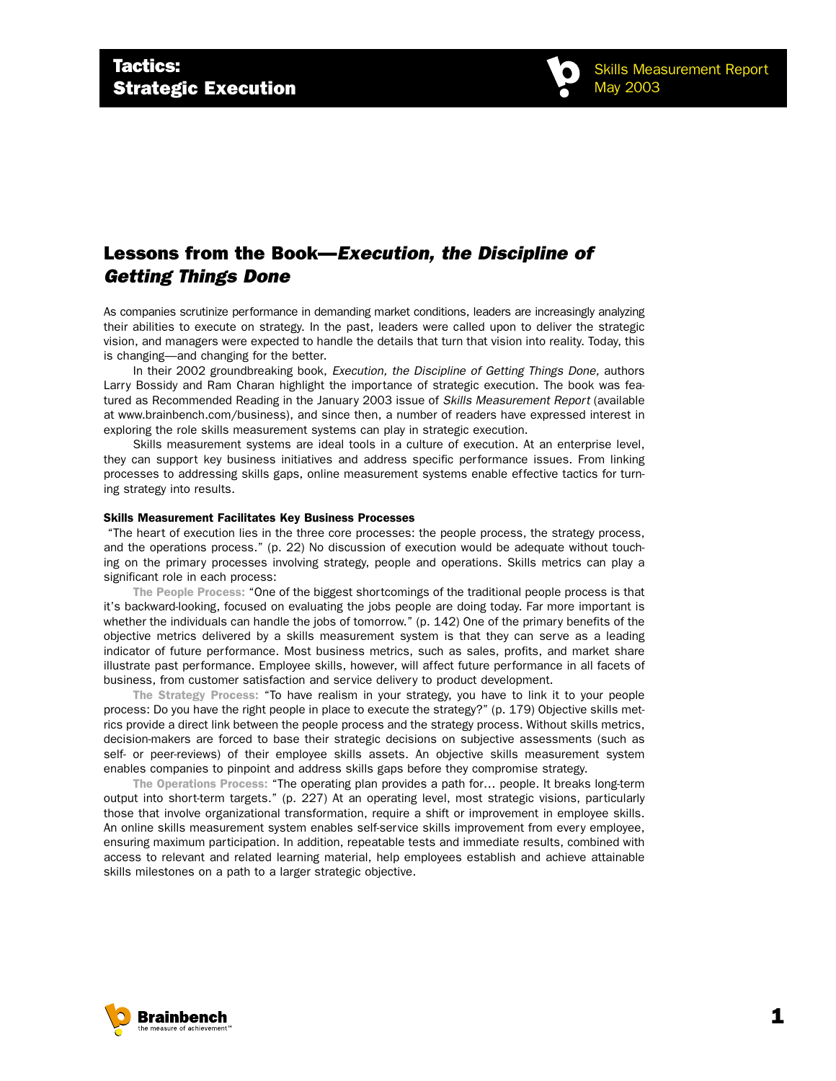

## Lessons from the Book—*Execution, the Discipline of Getting Things Done*

As companies scrutinize performance in demanding market conditions, leaders are increasingly analyzing their abilities to execute on strategy. In the past, leaders were called upon to deliver the strategic vision, and managers were expected to handle the details that turn that vision into reality. Today, this is changing—and changing for the better.

In their 2002 groundbreaking book, *Execution, the Discipline of Getting Things Done,* authors Larry Bossidy and Ram Charan highlight the importance of strategic execution. The book was featured as Recommended Reading in the January 2003 issue of *Skills Measurement Report* (available at www.brainbench.com/business), and since then, a number of readers have expressed interest in exploring the role skills measurement systems can play in strategic execution.

Skills measurement systems are ideal tools in a culture of execution. At an enterprise level, they can support key business initiatives and address specific performance issues. From linking processes to addressing skills gaps, online measurement systems enable effective tactics for turning strategy into results.

## Skills Measurement Facilitates Key Business Processes

"The heart of execution lies in the three core processes: the people process, the strategy process, and the operations process." (p. 22) No discussion of execution would be adequate without touching on the primary processes involving strategy, people and operations. Skills metrics can play a significant role in each process:

The People Process: "One of the biggest shortcomings of the traditional people process is that it's backward-looking, focused on evaluating the jobs people are doing today. Far more important is whether the individuals can handle the jobs of tomorrow." (p. 142) One of the primary benefits of the objective metrics delivered by a skills measurement system is that they can serve as a leading indicator of future performance. Most business metrics, such as sales, profits, and market share illustrate past performance. Employee skills, however, will affect future performance in all facets of business, from customer satisfaction and service delivery to product development.

The Strategy Process: "To have realism in your strategy, you have to link it to your people process: Do you have the right people in place to execute the strategy?" (p. 179) Objective skills metrics provide a direct link between the people process and the strategy process. Without skills metrics, decision-makers are forced to base their strategic decisions on subjective assessments (such as self- or peer-reviews) of their employee skills assets. An objective skills measurement system enables companies to pinpoint and address skills gaps before they compromise strategy.

The Operations Process: "The operating plan provides a path for… people. It breaks long-term output into short-term targets." (p. 227) At an operating level, most strategic visions, particularly those that involve organizational transformation, require a shift or improvement in employee skills. An online skills measurement system enables self-service skills improvement from every employee, ensuring maximum participation. In addition, repeatable tests and immediate results, combined with access to relevant and related learning material, help employees establish and achieve attainable skills milestones on a path to a larger strategic objective.